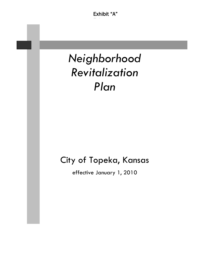# *Neighborhood Revitalization Plan*

## City of Topeka, Kansas

effective January 1, 2010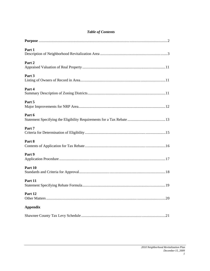|  |  | <b>Table of Contents</b> |
|--|--|--------------------------|
|--|--|--------------------------|

| Part 1          |
|-----------------|
| Part 2          |
| Part 3          |
| Part 4          |
| Part 5          |
| Part 6          |
| Part 7          |
| Part 8          |
| Part 9          |
| Part 10         |
| Part 11         |
| Part 12<br>.20  |
| <b>Appendix</b> |
|                 |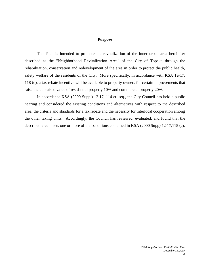#### **Purpose**

This Plan is intended to promote the revitalization of the inner urban area hereinfter described as the "Neighborhood Revitalization Area" of the City of Topeka through the rehabilitation, conservation and redevelopment of the area in order to protect the public health, safety welfare of the residents of the City. More specifically, in accordance with KSA 12-17, 118 (d), a tax rebate incentive will be available to property owners for certain improvements that raise the appraised value of residential property 10% and commercial property 20%.

In accordance KSA (2000 Supp.) 12-17, 114 et. seq., the City Council has held a public hearing and considered the existing conditions and alternatives with respect to the described area, the criteria and standards for a tax rebate and the necessity for interlocal cooperation among the other taxing units. Accordingly, the Council has reviewed, evaluated, and found that the described area meets one or more of the conditions contained in KSA (2000 Supp) 12-17,115 (c).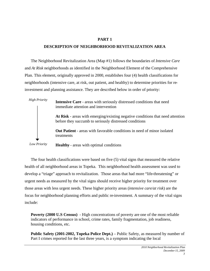## **DESCRIPTION OF NEIGHBORHOOD REVITALIZATION AREA**

The Neighborhood Revitalization Area (Map #1) follows the boundaries of *Intensive Care* and *At Risk* neighborhoods as identified in the Neighborhood Element of the Comprehensive Plan. This element, originally approved in 2000, establishes four (4) health classifications for neighborhoods (intensive care, at risk, out patient, and healthy) to determine priorities for reinvestment and planning assistance. They are described below in order of priority:



The four health classifications were based on five (5) vital signs that measured the relative health of all neighborhood areas in Topeka. This neighborhood health assessment was used to develop a "triage" approach to revitalization. Those areas that had more "life-threatening" or urgent needs as measured by the vital signs should receive higher priority for treatment over those areas with less urgent needs. These higher priority areas (*intensive care/at risk*) are the focus for neighborhood planning efforts and public re-investment. A summary of the vital signs include:

**Poverty (2000 U.S Census)** - High concentrations of poverty are one of the most reliable indicators of performance in school, crime rates, family fragmentation, job readiness, housing conditions, etc.

**Public Safety (2001-2002, Topeka Police Dept.)** – Public Safety, as measured by number of Part I crimes reported for the last three years, is a symptom indicating the local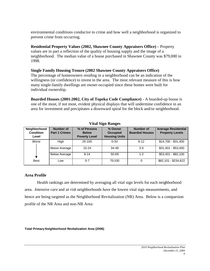environmental conditions conducive to crime and how well a neighborhood is organized to prevent crime from occurring.

**Residential Property Values (2002, Shawnee County Appraisers Office)** – Property values are in part a reflection of the quality of housing supply and the image of a neighborhood. The median value of a house purchased in Shawnee County was \$79,000 in 1998.

#### **Single Family Housing Tenure (2002 Shawnee County Appraisers Office)**

The percentage of homeowners residing in a neighborhood can be an indication of the willingness (or confidence) to invest in the area. The most relevant measure of this is how many single-family dwellings are owner-occupied since these homes were built for individual ownership.

**Boarded Houses (2001-2002, City of Topeka Code Compliance)** - A boarded-up house is one of the most, if not most, evident physical displays that will undermine confidence in an area for investment and precipitates a downward spiral for the block and/or neighborhood.

|                                           |                                   |                                                      | $\overline{\phantom{a}}$                           |                                           |                                                      |
|-------------------------------------------|-----------------------------------|------------------------------------------------------|----------------------------------------------------|-------------------------------------------|------------------------------------------------------|
| Neighborhood<br><b>Condition</b><br>Level | Number of<br><b>Part 1 Crimes</b> | % of Persons<br><b>Below</b><br><b>Poverty Level</b> | % Owner<br><b>Occupied</b><br><b>Housing Units</b> | <b>Number of</b><br><b>Boarded Houses</b> | <b>Average Residential</b><br><b>Property Levels</b> |
| Worst                                     | High                              | 25-100                                               | $0 - 33$                                           | $6 - 12$                                  | \$14,700 - \$31,400                                  |
|                                           | Above Average                     | $15 - 24$                                            | 34-49                                              | $3 - 5$                                   | $$31,401 - $53,400$                                  |
|                                           | <b>Below Average</b>              | $8 - 14$                                             | $50 - 69$                                          | $1 - 2$                                   | \$53,401 - \$82,100                                  |
| <b>Best</b>                               | Low                               | $0 - 7$                                              | 70-100                                             | 0                                         | \$82,101 - \$234,622                                 |

#### **Vital Sign Ranges**

#### **Area Profile**

Health rankings are determined by averaging all vital sign levels for each neighborhood area. *Intensive care* and *at risk* neighborhoods have the lowest vital sign measurements, and hence are being targeted as the Neighborhood Revitalization (NR) Area. Below is a comparsion profile of the NR Area and non-NR Area:

#### **Total Primary Neighborhood Revitalization Area (2006)**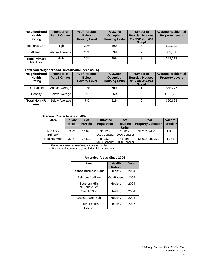| Neighborhood<br><b>Health</b><br>Rating | Number of<br><b>Part 1 Crimes</b> | % of Persons<br><b>Below</b><br><b>Poverty Level</b> | % Owner<br><b>Occupied</b><br><b>Housing Units</b> | Number of<br><b>Boarded Houses</b><br>(by Census Block<br>Group) | <b>Average Residential</b><br><b>Property Levels</b> |
|-----------------------------------------|-----------------------------------|------------------------------------------------------|----------------------------------------------------|------------------------------------------------------------------|------------------------------------------------------|
| Intensive Care                          | High                              | 30%                                                  | 40%                                                | 5                                                                | \$22.122                                             |
| At Risk                                 | Above Average                     | 25%                                                  | 53%                                                | 2                                                                | \$32,738                                             |
| <b>Total Primary</b><br><b>NR Area</b>  | High                              | 26%                                                  | 49%                                                | 3                                                                | \$29.313                                             |

#### **Total Non-Neighborhood Revitalization Area (2006)**

| <b>Neighborhood</b><br><b>Health</b><br>Rating | <b>Number of</b><br><b>Part 1 Crimes</b> | % of Persons<br><b>Below</b><br><b>Poverty Level</b> | % Owner<br><b>Occupied</b><br><b>Housing Units</b> | <b>Number of</b><br><b>Boarded Houses</b><br>(by Census Block)<br>Group) | <b>Average Residential</b><br><b>Property Levels</b> |
|------------------------------------------------|------------------------------------------|------------------------------------------------------|----------------------------------------------------|--------------------------------------------------------------------------|------------------------------------------------------|
| <b>Out Patient</b>                             | Above Average                            | 12%                                                  | 70%                                                |                                                                          | \$65,277                                             |
| Healthy                                        | <b>Below Average</b>                     | 5%                                                   | 85%                                                |                                                                          | \$101,791                                            |
| <b>Total Non-NR</b><br>Area                    | <b>Below Average</b>                     | 7%                                                   | 81%                                                | 0                                                                        | \$90,698                                             |

#### **General Characteristics (2009)**

| Area                 | <b>Square</b><br><b>Miles</b> | # of<br><b>Parcels</b> | <b>Estimated</b><br><b>Population</b> | <b>Total</b><br><b>Housing</b><br><b>Units</b> | Real<br><b>Property Valuation Parcels**</b> | <b>Vacant</b> |
|----------------------|-------------------------------|------------------------|---------------------------------------|------------------------------------------------|---------------------------------------------|---------------|
| NR Area<br>(Primary) | $9.7*$                        | 14.675                 | 34.125<br>(2000 Census)               | 15.817<br>$(2000$ Census)                      | \$1,274,240,540                             | 1.860         |
| Non-NR Area          | $37.6*$                       | 34.503                 | 88.252<br>(2000 Census)               | 41.198<br>(2000 Census)                        | \$6,615,382,262                             | 1.755         |

\* Excludes street rights-of-way and water bodies.

\*\* Residential, commercial, and industrial parcels only.

#### **Amended Areas Since 2004**

| Area                            | <b>Health</b><br><b>Rating</b> | Year |
|---------------------------------|--------------------------------|------|
| Kanza Business Park             | Healthy                        | 2004 |
| <b>Belmont Addition</b>         | Out-Patient                    | 2004 |
| Southern Hills<br>Sub "B" & "C" | Healthy                        | 2004 |
| Cowdin Sub                      | Healthy                        | 2004 |
| Drakes Farm Sub                 | Healthy                        | 2004 |
| Southern Hills<br>Sub "A"       | Healthy                        | 2007 |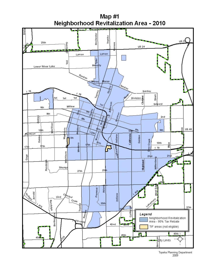

*December 15, 2009*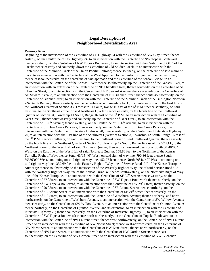#### **Legal Description of Neighborhood Revitalization Area**

#### **Primary Area**

Beginning at the intersection of the Centerline of US Highway 24 with the Centerline of NW Clay Street; thence easterly, on the Centerline of US Highway 24, to an intersection with the Centerline of NW Topeka Boulevard; thence southerly, on the Centerline of NW Topeka Boulevard, to an intersection with the Centerline of Old Soldier Creek; thence easterly and southerly, down the Centerline of Old Soldier Creek, to an intersection with the Centerline of the Mainline Track of the Union Pacific Railroad; thence southerly, on the centerline of said mainline track, to an intersection with the Centerline of the West Approach to the Sardou Bridge over the Kansas River; thence east-southeasterly, on the centerline of said approach and the Centerline of the Sardou Bridge, to an intersection with the Centerline of the Kansas River; thence southwesterly, up the Centerline of the Kansas River, to an intersection with an extension of the Centerline of NE Chandler Street; thence southerly, on the Centerline of NE Chandler Street, to an intersection with the Centerline of NE Seward Avenue; thence westerly, on the Centerline of NE Seward Avenue, to an intersection with the Centerline of NE Branner Street; thence south-southwesterly, on the Centerline of Branner Street, to an intersection with the Centerline of the Mainline Track of the Burlington Northern – Santa Fe Railway; thence easterly, on the centerline of said mainline track, to an intersection with the East line of the Northeast Quarter of Section 33, Township 11 South, Range 16 east of the  $6<sup>th</sup>$  P.M.; thence southerly, on said East line, to the Southeast corner of said Northeast Quarter; thence easterly, on the North line of the Southwest Quarter of Section 34, Township 11 South, Range 16 east of the  $6<sup>th</sup>$  P.M., to an intersection with the Centerline of Deer Creek; thence southwesterly and southerly, up the Centerline of Deer Creek, to an intersection with the Centerline of SE  $6<sup>th</sup>$  Avenue; thence westerly, on the Centerline of SE  $6<sup>th</sup>$  Avenue, to an intersection with the Centerline of SE Deer Creek Parkway; thence southerly, on the Centerline of SE Deer Creek Parkway, to an intersection with the Centerline of Interstate Highway 70; thence easterly, on the Centerline of Interstate Highway 70, to an intersection with the East line of the Southwest Quarter of Section 3, Township 12 South, Range 16 east of the  $6<sup>th</sup>$  P.M.; thence southerly, on said East line, to the Southeast corner of said Southwest Quarter; thence easterly, on the North line of the Northeast Quarter of Section 10, Township 12 South, Range 16 east of the 6<sup>th</sup> P.M., to the Northeast corner of the West Half of said Northeast Quarter; thence on an assumed bearing of South 00°48'00" West, on the East line of the West Half of said Northeast Quarter, 158.83 feet, to the North line of the Kansas Turnpike Right of Way, thence South 63°15'40" West, on said right of way line, 790.86 feet; thence South 6936'00" West, continuing on said right of way line, 452.77 feet; thence North 7046'40" West, continuing on said right of way line , 337.69 feet, to the Easterly Right of Way line of Service Road "L" of the Kansas Turnpike Authority; thence southwesterly, to the intersection of the Westerly Right of Way line of said Service Road "L" with the Northerly Right of Way line of the Kansas Turnpike; thence southwesterly, on the Northerly Right of Way line of the Kansas Turnpike, to an intersection with the Centerline of SE 37<sup>th</sup> Street; thence westerly, on the Centerline of  $37<sup>th</sup>$  Street, to an intersection with the Centerline of SW Topeka Boulevard; thence northerly, on the Centerline of SW Topeka Boulevard, to an intersection with the Centerline of SW  $29<sup>th</sup>$  Street; thence easterly, on the Centerline of 29<sup>th</sup> Street, to an intersection with the Centerline of SE Adams Street; thence northerly, on the Centerline of SE Adams Street, to an intersection with the Centerline of SE 21<sup>st</sup> Street; thence westerly, on the Centerline of 21<sup>st</sup> Street, to an intersection with the Centerline of Washburn Avenue; thence northerly, and northnortheasterly, on the Centerline of Washburn Avenue, to an intersection with the Centerline of SW Willow Avenue; thence easterly, on the Centerline of SW Willow Avenue, to an intersection with the Centerline of Quinton Avenue; thence northerly, on the Centerline of Quinton Avenue, and its extension, to an intersection with the Centerline of Interstate Highway 70; thence southeasterly, on the Centerline of Interstate Highway 70, to an intersection with the Centerline of SW Topeka Boulevard; thence north-northeasterly, on the Centerline of Topeka Boulevard, to an intersection with the Centerline of NW Laurent Street; thence west-northwesterly, on the Centerline of NW Laurent Street, to an intersection with the Centerline of NW Norris Street; thence west-northwesterly, on the Centerline of NW Norris Street, to an intersection with the Centerline of NW Lane Street; thence north-northeasterly, on the Centerline of NW Lane Street, to an intersection with the Centerline of NW Gordon Street; thence eastsoutheasterly, on the Centerline of NW Gordon Street, to an intersection with the Centerline of NW Buchanan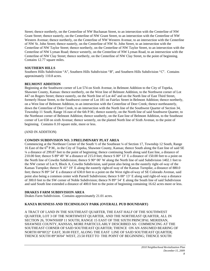Street; thence northerly, on the Centerline of NW Buchanan Street, to an intersection with the Centerline of NW Grant Street; thence easterly, on the Centerline of NW Grant Street, to an intersection with the Centerline of NW Western Avenue; thence northerly, on the Centerline of NW Western Avenue, to an intersection with the Centerline of NW St. John Street; thence easterly, on the Centerline of NW St. John Street, to an intersection with the Centerline of NW Taylor Street; thence northerly, on the Centerline of NW Taylor Street, to an intersection with the Centerline of NW Lyman Road; thence westerly, on the Centerline of NW Lyman Road, to an intersection with the Centerline of NW Clay Street; thence northerly, on the Centerline of NW Clay Street, to the point of beginning. Contains 12.77 square miles.

#### **SOUTHERN HILLS**

Southern Hills Subdivision "A", Southern Hills Subdivision "B", and Southern Hills Subdivision "C". Contains approximately 110.8 acres.

#### **BELMONT ADDITION**

Beginning at the Southwest corner of Lot 574 on Sixth Avenue, in Belmont Addition to the City of Topeka, Shawnee County, Kansas: thence northerly, on the West line of Belmont Addition, to the Northwest corner of Lot 447 on Rogers Street; thence easterly, on the North line of Lot 447 and on the North line of East Third Street, formerly House Street, to the Southwest corner of Lot 181 on Fairfax Street in Belmont Addition; thence northerly, on a West line of Belmont Addition, to an intersection with the Centerline of Deer Creek; thence northeasterly, down the Centerline of Deer Creek, to an intersection with the North line of the Southwest Quarter of Section 34, Township 11 South, Range 16 east of the 6th P.M.; thence easterly, on the North line of said Southwest Quarter, to the Northeast corner of Belmont Addition; thence southerly, on the East line of Belmont Addition, to the Southeast corner of Lot 658 on sixth Avenue; thence westerly, on the platted North line of Sixth Avenue, to the point of beginning. Contains 0.10 square mile, more or less.

#### (AND IN ADDITION)

#### **COWDIN SUBDIVISION NO. 3 PRELIMINARY PLAT AREA**

Commencing at the Northeast Corner of the South ½ of the Southeast ¼ of Section 17, Township 12 South, Range 16 East of the  $6<sup>th</sup>$  P.M., in the City of Topeka, Shawnee County, Kansas; thence South along the East line of said SE ¼ a distance of 299.87 feet to the point of beginning; thence continuing South along said East line, a distance of 210.00 feet; thence S 89° 49' W a distance of 215.0 feet; thence S 00° 13' E a distance of 150.00 feet to a point on the North line of Cowdin Subdivision; thence S 90° 00' W along the North line of said Subdivision 1402.1 feet to the NW corner of Lot 9, Block A, Cowdin Subdivision, said point also being on the easterly right-of-way of the Kansas Turnpike; thence N 41° 19' E along the easterly right-of-way of the Kansas Turnpike, a distance of 880.0 feet; thence N 89° 54' E a distance of 630.0 feet to a point on the West right-of-way of SE Colorado Avenue, said point also being a common center with Parnell Subdivision; thence  $S\ 00^{\circ}$  13' E along said right-of-way a distance of 300.0 feet to the SW corner of Noble Subdivision; thence N 89° 54' E along the South line of said Subdivision and said South line extended a distance of 400.0 feet to the point of beginning containing 16.62 acres more or less.

#### **DRAKES FARM SUBDIVISION AREA**

Drakes Farm Subdivision. Contains approximately 21.01 acres.

#### **KANZA BUSINESS AND TECHNOLOGY PARK (OVERALL PUD BOUNDARY)**

A TRACT OF LAND IN THE SOUTHEAST QUARTER, THE EAST HALF OF THE SOUTHWEST QUARTER, LOT 3 OF THE NORTHWEST QUARTER, AND THE NORTHEAST QUARTER, ALL IN SECTION 26, TOWNSHIP 11 SOUTH, RANGE 15 EAST OF THE SIXTH PRINCIPAL MERIDIAN, SHAWNEE COUNTY, KANSAS, MORE PARTICULARLY DESCRIBED AS: COMMENCING AT THE SOUTHEAST CORNER OF SAID SOUTHEAST QUARTER; THENCE ON AN ASSUMED BEARING OF NORTH 00°00'22" EAST, 30.00 FEET, ALONG THE EAST LINE OF SAID SOUTHEAST QUARTER; THENCE SOUTH 89°36'04" WEST, 23.50 FEET TO THE POINT OF BEGINNING; THENCE SOUTH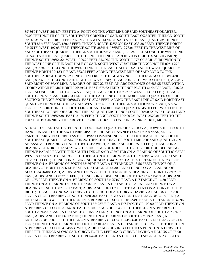89°36'04" WEST, 2611.74 FEET TO A POINT ON THE WEST LINE OF SAID SOUTHEAST QUARTER, 30.00 FEET NORTH OF THE SOUTHWEST CORNER OF SAID SOUTHEAST QUARTER; THENCE NORTH 00°06'23" WEST, 1118.90 FEET ALONG THE WEST LINE OF SAID SOUTHEAST QUARTER; THENCE SOUTH 86°16'38" EAST, 130.48 FEET; THENCE NORTH 42°55'39" EAST, 233.28 FEET; THENCE NORTH 01°25'17" WEST, 497.95 FEET; THENCE SOUTH 88°46'41" WEST, 278.01 FEET TO THE WEST LINE OF SAID SOUTHEAST QUARTER; THENCE SOUTH 00°06'23" EAST, 120.24 FEET ALONG THE WEST LINE OF SAID SOUTHEAST QUARTER TO THE NORTH LINE OF ARLINGTON HEIGHTS SUBDIVISION; THENCE SOUTH 89°54'32" WEST, 1309.28 FEET ALONG THE NORTH LINE OF SAID SUBDIVISION TO THE WEST LINE OF THE EAST HALF OF SAID SOUTHWEST QUARTER; THENCE NORTH 00°11'27" EAST, 953.94 FEET ALONG THE WEST LINE OF THE EAST HALF OF SAID SOUTHWEST QUARTER; THENCE NORTH 00°18'11" EAST, 663.92 FEET ALONG THE WEST LINE OF SAID LOT 3 TO THE SOUTHERLY RIGHT-OF-WAY LINE OF INTERSTATE HIGHWAY NO. 70; THENCE NORTH 88°53'30" EAST, 883.63 FEET ALONG SAID RIGHT-OF-WAY LINE; THENCE ON A CURVE TO THE LEFT, ALONG SAID RIGHT-OF-WAY LINE, A RADIUS OF 1579.22 FEET, AN ARC DISTANCE OF 683.95 FEET, WITH A CHORD WHICH BEARS NORTH 76°29'04" EAST, 678.62 FEET; THENCE NORTH 64°04'38" EAST, 1046.28 FEET, ALONG SAID RIGHT-OF-WAY LINE; THENCE SOUTH 00°08'08" WEST, 213.32 FEET; THENCE SOUTH 78°48'28" EAST, 1483.53 FEET TO THE EAST LINE OF THE NORTHEAST QUARTER OF SAID SECTION; THENCE SOUTH 00°08'53" EAST, 87.25 FEET ALONG THE EAST LINE OF SAID NORTHEAST QUARTER; THENCE SOUTH 16°33'51" WEST, 156.49 FEET; THENCE SOUTH 00°08'53" EAST, 539.57 FEET TO A POINT ON THE SOUTH LINE OF SAID NORTHEAST QUARTER, 45.00 FEET WEST OF THE SOUTHEAST CORNER OF SAID NORTHEAST QUARTER; THENCE SOUTH 00°00'22" WEST, 35.43 FEET; THENCE SOUTH 89°59'38" EAST, 21.50 FEET; THENCE SOUTH 00°00'22" WEST, 2570.01 FEET TO THE POINT OF BEGINNING. THE ABOVE DESCRIBED TRACT CONTAINS 258.943 ACRES, MORE OR LESS.

A TRACT OF LAND SITUATED IN THE SOUTHEAST QUARTER OF SECTION 26, TOWNSHIP 11 SOUTH, RANGE 15 EAST OF THE SIXTH PRINCIPAL MERIDIAN, SHAWNEE COUNTY KANSAS, MORE PARTICULARLY DESCRIBED AS FOLLOWS: COMMENCING AT THE SOUTHEAST CORNER OF THE SOUTHEAST QUARTER OF SECTION 26; THENCE ALONG THE SOUTH LINE OF SAID QUARTER ON AN ASSUMED BEARING OF SOUTH 89°35'38" WEST, A DISTANCE OF 825.36 FEET; THENCE ON A BEARING OF NORTH 00°24'22" WEST, A DISTANCE OF 40.00 FEET TO THE POINT OF BEGINNING; THENCE PARALLEL WITH THE SOUTH LINE OF SAID QUARTER ON A BEARING OF SOUTH 89°35'38" WEST, A DISTANCE OF 515.96 FEET; THENCE ON A BEARING NORTH 00°25'19" WEST, A DISTANCE OF 2033.61 FEET; THENCE ON A BEARING OF NORTH 44°27'37" EAST, A DISTANCE OF 68.73 FEET; THENCE ON A BEARING OF SOUTH 63°56'06" EAST, A DISTANCE OF 18.56 FEET; THENCE ON A BEARING OF NORTH 19°56'13" EAST, A DISTANCE OF 44.30 FEET; THENCE ON A BEARING OF NORTH 34°34'08" EAST, A DISTANCE OF 25.22 FEET; THENCE ON A BEARING OF NORTH 72°13'53" EAST, A DISTANCE OF 27.65 FEET; THENCE ON A BEARING OF SOUTH 37°05'32" EAST, A DISTANCE OF 14.75 FEET; THENCE ON A BEARING OF SOUTH 54°25'19" EAST, A DISTANCE OF 16.30 FEET; THENCE ON A BEARING OF SOUTH 80°46'21" EAST, A DISTANCE OF 23.15 FEET; THENCE ON A BEARING OF SOUTH 87°13'11" EAST, A DISTANCE OF 11.70 FEET TO A POINT ON A CURVE TO THE RIGHT; THENCE ALONG SAID CURVE TO THE RIGHT (SAID CURVE HAVING A RADIUS OF 75.00 FEET, A CHORD BEARING OF SOUTH 74°03'00" EAST, AND A CHORD DISTANCE OF 34.18 FEET) A DISTANCE OF 34.48 FEET; THENCE ON A BEARING OF SOUTH 60°52'49" EAST, A DISTANCE OF 42.96 FEET; THENCE ON A BEARING OF SOUTH 53°28'55" EAST, A DISTANCE OF 108.90 FEET; THENCE ON A BEARING OF SOUTH 31°54'18" EAST, A DISTANCE OF 87.45 FEET; THENCE ON A BEARING OF SOUTH 26°44'08" EAST, A DISTANCE OF 158.72 FEET; THENCE ON A BEARING OF SOUTH 28°30'48" EAST, A DISTANCE OF 137.12 FEET; THENCE ON A BEARING OF SOUTH 35°51'47" EAST, A DISTANCE OF 63.86 FEET; THENCE ON A BEARING OF SOUTH 44°53'50" EAST, A DISTANCE OF 71.01 FEET; THENCE ON A BEARING OF SOUTH 00°10'26" EAST, A DISTANCE OF 305.26 FEET; THENCE ON A BEARING OF SOUTH 41°48'53" WEST, A DISTANCE OF 216.94 FEET TO A POINT ON A CURVE TO THE LEFT; THENCE ALONG SAID CURVE TO THE LEFT (SAID CURVE HAVING A RADIUS OF 75.00 FEET, A CHORD BEARING OF SOUTH 19°54'50" EAST, AND A CHORD DISTANCE OF 97.23 FEET) A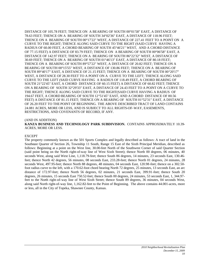DISTANCE OF 105.78 FEET; THENCE ON A BEARING OF SOUTH 00°01'58" EAST, A DISTANCE OF 78.63 FEET; THENCE ON A BEARING OF SOUTH 34°02'36" EAST, A DISTANCE OF 118.96 FEET; THENCE ON A BEARING OF SOUTH 00°17'22" WEST, A DISTANCE OF 227.41 FEET TO A POINT ON A CURVE TO THE RIGHT; THENCE ALONG SAID CURVE TO THE RIGHT (SAID CURVE HAVING A RADIUS OF 60.00 FEET, A CHORD BEARING OF SOUTH 45°46'21" WEST, AND A CHORD DISTANCE OF 77.15 FEET) A DISTANCE OF 83.79 FEET; THENCE ON A BEARING OF SOUTH 00°06'58" EAST, A DISTANCE OF 142.97 FEET; THENCE ON A BEARING OF SOUTH 86°22'32" WEST, A DISTANCE OF 30.69 FEET; THENCE ON A BEARING OF SOUTH 01°46'13" EAST, A DISTANCE OF 80.18 FEET; THENCE ON A BEARING OF SOUTH 89°57'22" WEST, A DISTANCE OF 20.82 FEET; THENCE ON A BEARING OF SOUTH 00°15'55" WEST, A DISTANCE OF 130.86 FEET; THENCE ON A BEARING OF SOUTH 89°40'17" EAST, A DISTANCE OF 21.15 FEET; THENCE ON A BEARING OF SOUTH 00°20'17" WEST, A DISTANCE OF 28.30 FEET TO A POINT ON A CURVE TO THE LEFT; THENCE ALONG SAID CURVE TO THE LEFT (SAID CURVE HAVING A RADIUS OF 118.49 FEET, A CHORD BEARING OF SOUTH 21°22'45" EAST, A CHORD DISTANCE OF 60.15 FEET) A DISTANCE OF 60.82 FEET; THENCE ON A BEARING OF SOUTH 32°29'33" EAST, A DISTANCE OF 24.43 FEET TO A POINT ON A CURVE TO THE RIGHT; THENCE ALONG SAID CURVE TO THE RIGHT(SAID CURVE HAVING A RADIUS OF 194.67 FEET, A CHORD BEARING OF SOUTH 12°51'45" EAST, AND A CHORD DISTANCE OF 80.56 FEET) A DISTANCE OF 81.15 FEET; THENCE ON A BEARING OF SOUTH 01°52'31" EAST, A DISTANCE OF 26.20 FEET TO THE POINT OF BEGINNING. THE ABOVE DESCRIBED TRACT OF LAND CONTAINS 24.081 ACRES, MORE OR LESS, AND IS SUBJECT TO ALL RIGHTS-OF-WAY, EASEMENTS, RESTRICTIONS, AND COVENANTS OF RECORD, IF ANY.

#### (AND IN ADDITION)

**KANZA BUSINESS AND TECHNOLOGY PARK SUBDIVISION.** CONTAINS APPROXIMATELY 10.39- ACRES, MORE OR LESS.

#### EXCEPT

The property commonly known as the 501 Sports Complex and legally described as follows: A tract of land in the Southeast Quarter of Section 26, Township 11 South, Range 15 East of the Sixth Principal Meridian, described as follows: Beginning at a point on the West line, 30.00-feet North of the Southwest Corner of said Quarter Section (said point being on the North right-of-way line of West Sixth Street); thence North 00 degrees, 06 minutes, 40 seconds West, along said West Line, 1,118.79-feet; thence South 86 degrees, 14 minutes, 23 seconds East, 130.46 feet; thence North 42 degrees, 56 minutes, 08 seconds East, 233.28-feet; thence North 01 degrees, 24 minutes, 28 seconds West, 497.95-feet; thence North 88 degrees, 48 minutes, 04 seconds East, 120.98-feet; thence on a 302.50 foot radius curve to the left, with a 170.62-foot chord bearing North 72 degrees, 25 minutes, 13 seconds East, an arc distance of 172.97-feet; thence North 56 degrees, 02 minutes, 21 seconds East, 399.91-feet; thence South 20 degrees, 26 minutes, 15 seconds East 750.52-feet; thence South 00 degrees, 24 minutes, 53 seconds East, 1, 344.97 feet to the North right-of-way line of West Sixth Street; thence South 89 degrees, 36 minutes, 04 seconds West, along said North right-of-way line, 1,162.82-feet to the Point of Beginning. The above contains 44.001-acres, more or less, all in the City of Topeka, Shawnee County, Kansas.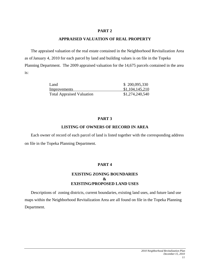#### **APPRAISED VALUATION OF REAL PROPERTY**

The appraised valuation of the real estate contained in the Neighborhood Revitalization Area as ofJanuary 4, 2010 for each parcel by land and building values is on file in the Topeka Planning Department. The 2009 appraised valuation for the 14,675 parcels contained in the area is:

| Land                             | \$200,095,330   |
|----------------------------------|-----------------|
| Improvements                     | \$1,104,145,210 |
| <b>Total Appraised Valuation</b> | \$1,274,240,540 |

## **PART 3**

## **LISTING OF OWNERS OF RECORD IN AREA**

Each owner of record of each parcel of land is listed together with the corresponding address on file in the Topeka Planning Department.

## **PART 4**

## **EXISTING ZONING BOUNDARIES & EXISTING/PROPOSED LAND USES**

Descriptions of zoning districts, current boundaries, existing land uses, and future land use maps within the Neighborhood Revitalization Area are all found on file in the Topeka Planning Department.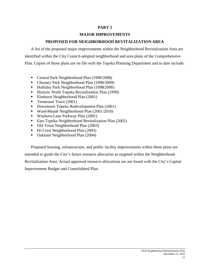## **MAJOR IMPROVEMENTS**

## **PROPOSED FOR NEIGHBORHOOD REVITALIZATION AREA**

A list of the proposed major improvements within the Neighborhood Revitalization Area are identified within the City Council-adopted neighborhood and area plans of the Comprehensive Plan. Copies of those plans are on file with the Topeka Planning Department and to date include:

- Central Park Neighborhood Plan (1998/2008)
- Chesney Park Neighborhood Plan (1998/2009)
- Holliday Park Neighborhood Plan (1998/2008)
- **Historic North Topeka Revitalization Plan (1999)**
- Elmhurst Neighborhood Plan (2001)
- **Tennessee Town (2001)**
- Downtown Topeka Redevelopment Plan (2001)
- Ward-Meade Neighborhood Plan (2001/2010)
- Wasburn-Lane Parkway Plan (2001)
- East Topeka Neighborhood Revitalization Plan (2002)
- Old Town Neighborhood Plan (2003)
- Hi-Crest Neighborhood Plan (2003)
- Oakland Neighborhood Plan (2004)

Proposed housing, infrastructure, and public facility improvements within these plans are intended to guide the City's future resource allocation as targeted within the Neighborhood Revitalization Area. Actual approved resource allocations are are found with the City's Capital Improvement Budget and Consolidated Plan.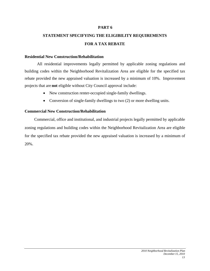## **STATEMENT SPECIFYING THE ELIGIBILITY REQUIREMENTS FOR A TAX REBATE**

#### **Residential New Construction/Rehabilitation**

All residential improvements legally permitted by applicable zoning regulations and building codes within the Neighborhood Revitalization Area are eligible for the specified tax rebate provided the new appraised valuation is increased by a minimum of 10%. Improvement projects that are **not** eligible without City Council approval include:

- New construction renter-occupied single-family dwellings.
- Conversion of single-family dwellings to two (2) or more dwelling units.

#### **Commercial New Construction/Rehabilitation**

Commercial, office and institutional, and industrial projects legally permitted by applicable zoning regulations and building codes within the Neighborhood Revitalization Area are eligible for the specified tax rebate provided the new appraised valuation is increased by a minimum of 20%.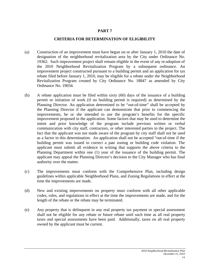## **CRITERIA FOR DETERMINATION OF ELIGIBILITY**

- (a) Construction of an improvement must have begun on or after January 1, 2010 the date of designation of the neighborhood revitalization area by the City under Ordinance No. 19362. Such improvement project shall remain eligible in the event of any re-adoption of the 2010 Neighborhood Revitalization Program by a subsequent ordinance. An improvement project constructed pursuant to a building permit and an application for tax rebate filed before January 1, 2010, may be eligible for a rebate under the Neighborhood Revitalization Program created by City Ordinance No. 18847 as amended by City Ordinance No. 19034.
- (b) A rebate application must be filed within sixty (60) days of the issuance of a building permit or initiation of work (if no building permit is required) as determined by the Planning Director. An application determined to be "out-of-time" shall be accepted by the Planning Director if the applicant can demonstrate that prior to commencing the improvements, he or she intended to use the program's benefits for the specific improvement proposed in the application. Some factors that may be used to determine the intent and prior knowledge of the program include previous written or verbal communication with city staff, contractors, or other interested parties in the project. The fact that the applicant was not made aware of the program by city staff shall not be used as a factor in this determination. An application shall not be accepted "out-of-time if the building permit was issued to correct a past zoning or building code violation. The applicant must submit all evidence in writing that supports the above criteria to the Planning Department within one (1) year of the issuance of the building permit. The applicant may appeal the Planning Director's decision to the City Manager who has final authority over the matter.
- (c) The improvements must conform with the Comprehensive Plan, including design guidelines within applicable Neighborhood Plans, and Zoning Regulations in effect at the time the improvements are made.
- (d) New and existing improvements on property must conform with all other applicable codes, rules, and regulations in effect at the time the improvements are made, and for the length of the rebate or the rebate may be terminated.
- (e) Any property that is delinquent in any real property tax payment or special assessment shall not be eligible for any rebate or future rebate until such time as all real property taxes and special assessments have been paid. Additionally, taxes on all real property owned by the applicant must be current.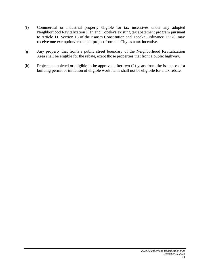- (f) Commercial or industrial property eligible for tax incentives under any adopted Neighborhood Revitalization Plan and Topeka's existing tax abatement program pursuant to Article 11, Section 13 of the Kansas Constitution and Topeka Ordinance 17270, may receive one exemption/rebate per project from the City as a tax incentive.
- (g) Any property that fronts a public street boundary of the Neighborhood Revitalization Area shall be eligible for the rebate, exept those properties that front a public highway.
- (h) Projects completed or eligible to be approved after two (2) years from the issuance of a building permit or initiation of eligible work items shall not be eligibile for a tax rebate.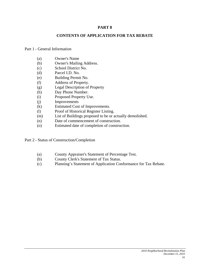#### **CONTENTS OF APPLICATION FOR TAX REBATE**

#### Part 1 - General Information

- (a) Owner's Name
- (b) Owner's Mailing Address.
- (c) School District No.
- (d) Parcel I.D. No.
- (e) Building Permit No.
- (f) Address of Property.
- (g) Legal Description of Property
- (h) Day Phone Number.
- (i) Proposed Property Use.
- (j) Improvements
- (k) Estimated Cost of Improvements.
- (l) Proof of Historical Register Listing.
- (m) List of Buildings proposed to be or actually demolished.
- (n) Date of commencement of construction.
- (o) Estimated date of completion of construction.

Part 2 - Status of Construction/Completion

- (a) County Appraiser's Statement of Percentage Test.
- (b) County Clerk's Statement of Tax Status.
- (c) Planning's Statement of Application Conformance for Tax Rebate.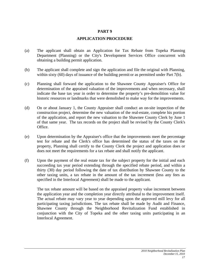## **APPLICATION PROCEDURE**

- (a) The applicant shall obtain an Application for Tax Rebate from Topeka Planning Department (Planning) or the City's Development Services Office concurrent with obtaining a building permit application.
- (b) The applicant shall complete and sign the application and file the original with Planning, within sixty (60) days of issuance of the building permit or as permitted under Part 7(b).
- (c) Planning shall forward the application to the Shawnee County Appraiser's Office for determination of the appraised valuation of the improvements and when necessary, shall indicate the base tax year in order to determine the property's pre-demolition value for historic resources or landmarks that were demolished to make way for the improvements.
- (d) On or about January 1, the County Appraiser shall conduct an on-site inspection of the construction project, determine the new valuation of the real-estate, complete his portion of the application, and report the new valuation to the Shawnee County Clerk by June 1 of that same year. The tax records on the project shall be revised by the County Clerk's Office.
- (e) Upon determination by the Appraiser's office that the improvements meet the percentage test for rebate and the Clerk's office has determined the status of the taxes on the property, Planning shall certify to the County Clerk the project and application does or does not meet the requirements for a tax rebate and shall notify the applicant.
- (f) Upon the payment of the real estate tax for the subject property for the initial and each succeeding tax year period extending through the specified rebate period, and within a thirty (30) day period following the date of tax distribution by Shawnee County to the other taxing units, a tax rebate in the amount of the tax increment (less any fees as specified in the Interlocal Agreement) shall be made to the applicant.

The tax rebate amount will be based on the appraised property value increment between the application year and the completion year directly attributal to the improvement itself. The actual rebate may vary year to year depending upon the approved mill levy for all participating taxing jurisdictions. The tax rebate shall be made by Audit and Finance, Shawnee County through the Neighborhood Revitalization Fund established in conjunction with the City of Topeka and the other taxing units participating in an Interlocal Agreement.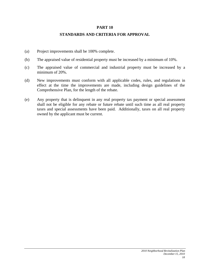#### **STANDARDS AND CRITERIA FOR APPROVAL**

- (a) Project improvements shall be 100% complete.
- (b) The appraised value of residential property must be increased by a minimum of 10%.
- (c) The appraised value of commercial and industrial property must be increased by a minimum of 20%.
- (d) New improvements must conform with all applicable codes, rules, and regulations in effect at the time the improvements are made, including design guidelines of the Comprehensive Plan, for the length of the rebate.
- (e) Any property that is delinquent in any real property tax payment or special assessment shall not be eligible for any rebate or future rebate until such time as all real property taxes and special assessments have been paid. Additionally, taxes on all real property owned by the applicant must be current.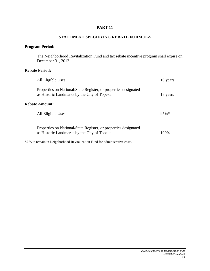#### **STATEMENT SPECIFYING REBATE FORMULA**

## **Program Period:**

The Neighborhood Revitalization Fund and tax rebate incentive program shall expire on December 31, 2012.

## **Rebate Period:**

| All Eligible Uses                                                                                              | 10 years |
|----------------------------------------------------------------------------------------------------------------|----------|
| Properties on National/State Register, or properties designated<br>as Historic Landmarks by the City of Topeka | 15 years |
| <b>Rebate Amount:</b>                                                                                          |          |
| All Eligible Uses                                                                                              | 95%      |
| Properties on National/State Register, or properties designated<br>as Historic Landmarks by the City of Topeka | 100%     |

\*5 % to remain in Neighborhood Revitalization Fund for administrative costs.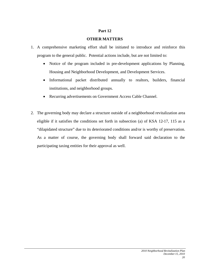#### **Part 12**

## **OTHER MATTERS**

- 1. A comprehensive marketing effort shall be initiated to introduce and reinforce this program to the general public. Potential actions include, but are not limited to:
	- Notice of the program included in pre-development applications by Planning, Housing and Neighborhood Development, and Development Services.
	- Informational packet distributed annually to realtors, builders, financial institutions, and neighborhood groups.
	- Recurring advertisements on Government Access Cable Channel.
- 2. The governing body may declare a structure outside of a neighborhood revitalization area eligible if it satisfies the conditions set forth in subsection (a) of KSA 12-17, 115 as a "dilapidated structure" due to its deteriorated conditions and/or is worthy of preservation. As a matter of course, the governing body shall forward said declaration to the participating taxing entities for their approval as well.